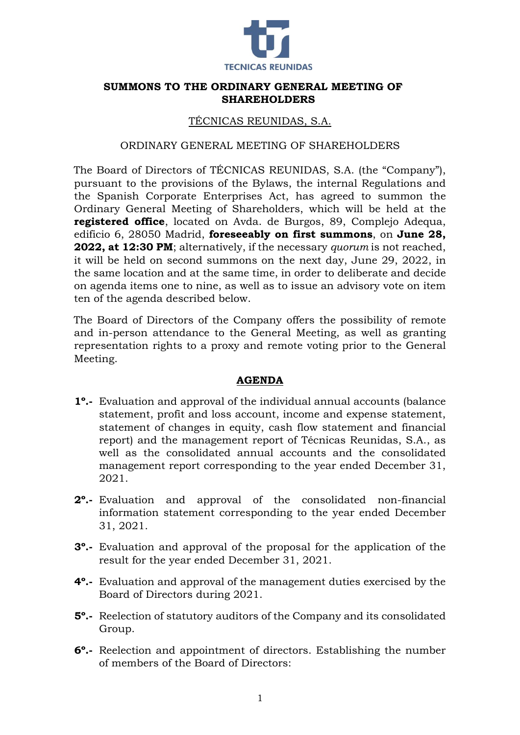

## **SUMMONS TO THE ORDINARY GENERAL MEETING OF SHAREHOLDERS**

## TÉCNICAS REUNIDAS, S.A.

#### ORDINARY GENERAL MEETING OF SHAREHOLDERS

The Board of Directors of TÉCNICAS REUNIDAS, S.A. (the "Company"), pursuant to the provisions of the Bylaws, the internal Regulations and the Spanish Corporate Enterprises Act, has agreed to summon the Ordinary General Meeting of Shareholders, which will be held at the **registered office**, located on Avda. de Burgos, 89, Complejo Adequa, edificio 6, 28050 Madrid, **foreseeably on first summons**, on **June 28, 2022, at 12:30 PM**; alternatively, if the necessary *quorum* is not reached, it will be held on second summons on the next day, June 29, 2022, in the same location and at the same time, in order to deliberate and decide on agenda items one to nine, as well as to issue an advisory vote on item ten of the agenda described below.

The Board of Directors of the Company offers the possibility of remote and in-person attendance to the General Meeting, as well as granting representation rights to a proxy and remote voting prior to the General Meeting.

#### **AGENDA**

- **1º.-** Evaluation and approval of the individual annual accounts (balance statement, profit and loss account, income and expense statement, statement of changes in equity, cash flow statement and financial report) and the management report of Técnicas Reunidas, S.A., as well as the consolidated annual accounts and the consolidated management report corresponding to the year ended December 31, 2021.
- **2º.-** Evaluation and approval of the consolidated non-financial information statement corresponding to the year ended December 31, 2021.
- **3º.-** Evaluation and approval of the proposal for the application of the result for the year ended December 31, 2021.
- **4º.-** Evaluation and approval of the management duties exercised by the Board of Directors during 2021.
- **5º.-** Reelection of statutory auditors of the Company and its consolidated Group.
- **6º.-** Reelection and appointment of directors. Establishing the number of members of the Board of Directors: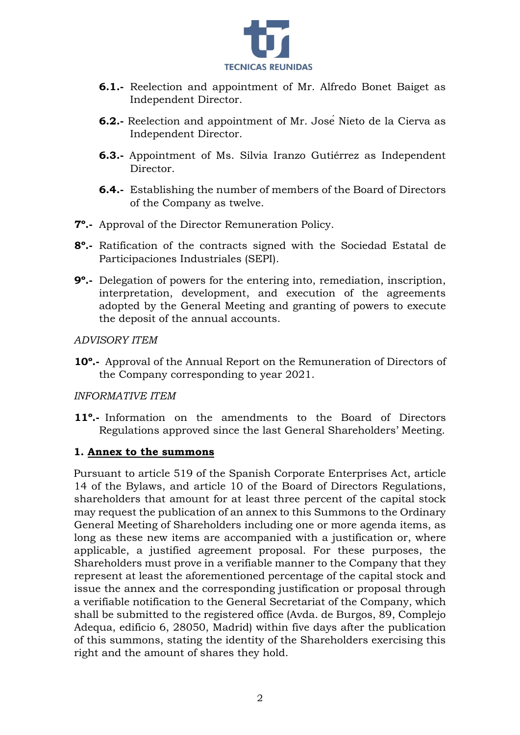

- **6.1.-** Reelection and appointment of Mr. Alfredo Bonet Baiget as Independent Director.
- **6.2.-** Reelection and appointment of Mr. José Nieto de la Cierva as Independent Director.
- **6.3.-** Appointment of Ms. Silvia Iranzo Gutiérrez as Independent Director.
- **6.4.-** Establishing the number of members of the Board of Directors of the Company as twelve.
- **7º.-** Approval of the Director Remuneration Policy.
- **8º.-** Ratification of the contracts signed with the Sociedad Estatal de Participaciones Industriales (SEPI).
- **9º.-** Delegation of powers for the entering into, remediation, inscription, interpretation, development, and execution of the agreements adopted by the General Meeting and granting of powers to execute the deposit of the annual accounts.

*ADVISORY ITEM*

**10º.-** Approval of the Annual Report on the Remuneration of Directors of the Company corresponding to year 2021.

#### *INFORMATIVE ITEM*

**11º.-** Information on the amendments to the Board of Directors Regulations approved since the last General Shareholders' Meeting.

#### **1. Annex to the summons**

Pursuant to article 519 of the Spanish Corporate Enterprises Act, article 14 of the Bylaws, and article 10 of the Board of Directors Regulations, shareholders that amount for at least three percent of the capital stock may request the publication of an annex to this Summons to the Ordinary General Meeting of Shareholders including one or more agenda items, as long as these new items are accompanied with a justification or, where applicable, a justified agreement proposal. For these purposes, the Shareholders must prove in a verifiable manner to the Company that they represent at least the aforementioned percentage of the capital stock and issue the annex and the corresponding justification or proposal through a verifiable notification to the General Secretariat of the Company, which shall be submitted to the registered office (Avda. de Burgos, 89, Complejo Adequa, edificio 6, 28050, Madrid) within five days after the publication of this summons, stating the identity of the Shareholders exercising this right and the amount of shares they hold.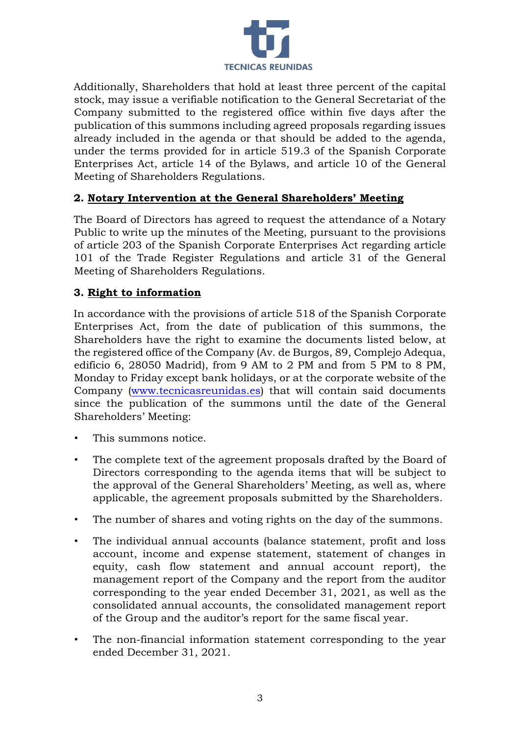

Additionally, Shareholders that hold at least three percent of the capital stock, may issue a verifiable notification to the General Secretariat of the Company submitted to the registered office within five days after the publication of this summons including agreed proposals regarding issues already included in the agenda or that should be added to the agenda, under the terms provided for in article 519.3 of the Spanish Corporate Enterprises Act, article 14 of the Bylaws, and article 10 of the General Meeting of Shareholders Regulations.

# **2. Notary Intervention at the General Shareholders' Meeting**

The Board of Directors has agreed to request the attendance of a Notary Public to write up the minutes of the Meeting, pursuant to the provisions of article 203 of the Spanish Corporate Enterprises Act regarding article 101 of the Trade Register Regulations and article 31 of the General Meeting of Shareholders Regulations.

## **3. Right to information**

In accordance with the provisions of article 518 of the Spanish Corporate Enterprises Act, from the date of publication of this summons, the Shareholders have the right to examine the documents listed below, at the registered office of the Company (Av. de Burgos, 89, Complejo Adequa, edificio 6, 28050 Madrid), from 9 AM to 2 PM and from 5 PM to 8 PM, Monday to Friday except bank holidays, or at the corporate website of the Company [\(www.tecnicasreunidas.es\)](http://www.tecnicasreunidas.es/) that will contain said documents since the publication of the summons until the date of the General Shareholders' Meeting:

- This summons notice.
- The complete text of the agreement proposals drafted by the Board of Directors corresponding to the agenda items that will be subject to the approval of the General Shareholders' Meeting, as well as, where applicable, the agreement proposals submitted by the Shareholders.
- The number of shares and voting rights on the day of the summons.
- The individual annual accounts (balance statement, profit and loss account, income and expense statement, statement of changes in equity, cash flow statement and annual account report), the management report of the Company and the report from the auditor corresponding to the year ended December 31, 2021, as well as the consolidated annual accounts, the consolidated management report of the Group and the auditor's report for the same fiscal year.
- The non-financial information statement corresponding to the year ended December 31, 2021.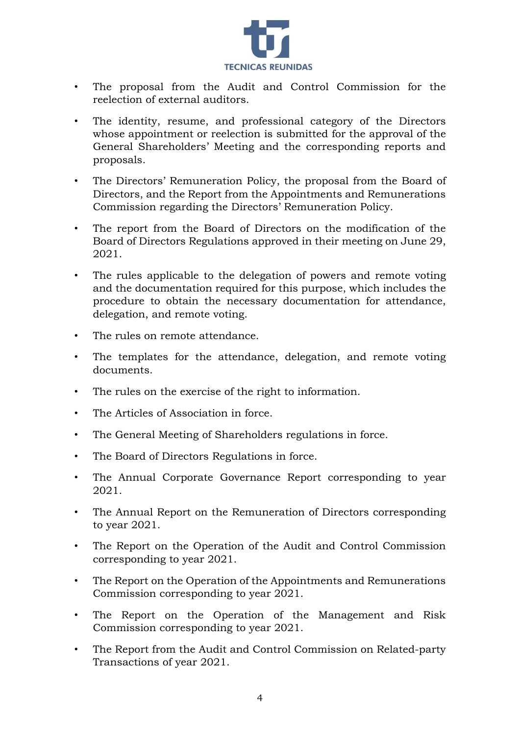

- The proposal from the Audit and Control Commission for the reelection of external auditors.
- The identity, resume, and professional category of the Directors whose appointment or reelection is submitted for the approval of the General Shareholders' Meeting and the corresponding reports and proposals.
- The Directors' Remuneration Policy, the proposal from the Board of Directors, and the Report from the Appointments and Remunerations Commission regarding the Directors' Remuneration Policy.
- The report from the Board of Directors on the modification of the Board of Directors Regulations approved in their meeting on June 29, 2021.
- The rules applicable to the delegation of powers and remote voting and the documentation required for this purpose, which includes the procedure to obtain the necessary documentation for attendance, delegation, and remote voting.
- The rules on remote attendance.
- The templates for the attendance, delegation, and remote voting documents.
- The rules on the exercise of the right to information.
- The Articles of Association in force.
- The General Meeting of Shareholders regulations in force.
- The Board of Directors Regulations in force.
- The Annual Corporate Governance Report corresponding to year 2021.
- The Annual Report on the Remuneration of Directors corresponding to year 2021.
- The Report on the Operation of the Audit and Control Commission corresponding to year 2021.
- The Report on the Operation of the Appointments and Remunerations Commission corresponding to year 2021.
- The Report on the Operation of the Management and Risk Commission corresponding to year 2021.
- The Report from the Audit and Control Commission on Related-party Transactions of year 2021.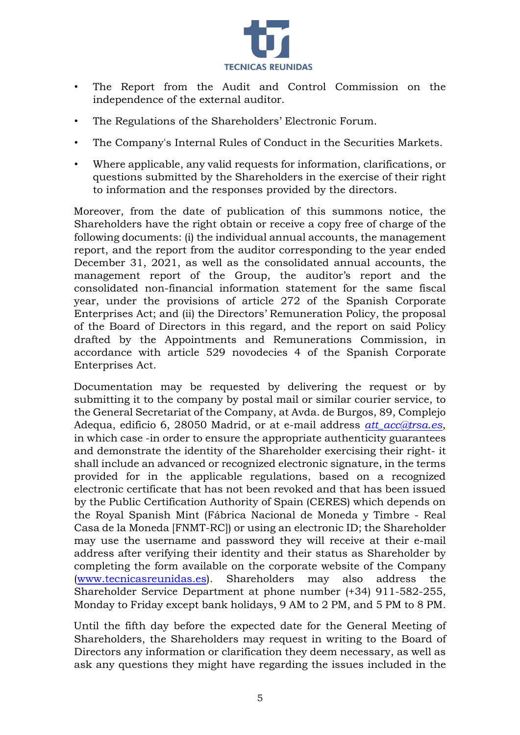

- The Report from the Audit and Control Commission on the independence of the external auditor.
- The Regulations of the Shareholders' Electronic Forum.
- The Company's Internal Rules of Conduct in the Securities Markets.
- Where applicable, any valid requests for information, clarifications, or questions submitted by the Shareholders in the exercise of their right to information and the responses provided by the directors.

Moreover, from the date of publication of this summons notice, the Shareholders have the right obtain or receive a copy free of charge of the following documents: (i) the individual annual accounts, the management report, and the report from the auditor corresponding to the year ended December 31, 2021, as well as the consolidated annual accounts, the management report of the Group, the auditor's report and the consolidated non-financial information statement for the same fiscal year, under the provisions of article 272 of the Spanish Corporate Enterprises Act; and (ii) the Directors' Remuneration Policy, the proposal of the Board of Directors in this regard, and the report on said Policy drafted by the Appointments and Remunerations Commission, in accordance with article 529 novodecies 4 of the Spanish Corporate Enterprises Act.

Documentation may be requested by delivering the request or by submitting it to the company by postal mail or similar courier service, to the General Secretariat of the Company, at Avda. de Burgos, 89, Complejo Adequa, edificio 6, 28050 Madrid, or at e-mail address *att\_acc@trsa.es*, in which case -in order to ensure the appropriate authenticity guarantees and demonstrate the identity of the Shareholder exercising their right- it shall include an advanced or recognized electronic signature, in the terms provided for in the applicable regulations, based on a recognized electronic certificate that has not been revoked and that has been issued by the Public Certification Authority of Spain (CERES) which depends on the Royal Spanish Mint (Fábrica Nacional de Moneda y Timbre - Real Casa de la Moneda [FNMT-RC]) or using an electronic ID; the Shareholder may use the username and password they will receive at their e-mail address after verifying their identity and their status as Shareholder by completing the form available on the corporate website of the Company [\(www.tecnicasreunidas.es\).](http://www.tecnicasreunidas.es/) Shareholders may also address the Shareholder Service Department at phone number (+34) 911-582-255, Monday to Friday except bank holidays, 9 AM to 2 PM, and 5 PM to 8 PM.

Until the fifth day before the expected date for the General Meeting of Shareholders, the Shareholders may request in writing to the Board of Directors any information or clarification they deem necessary, as well as ask any questions they might have regarding the issues included in the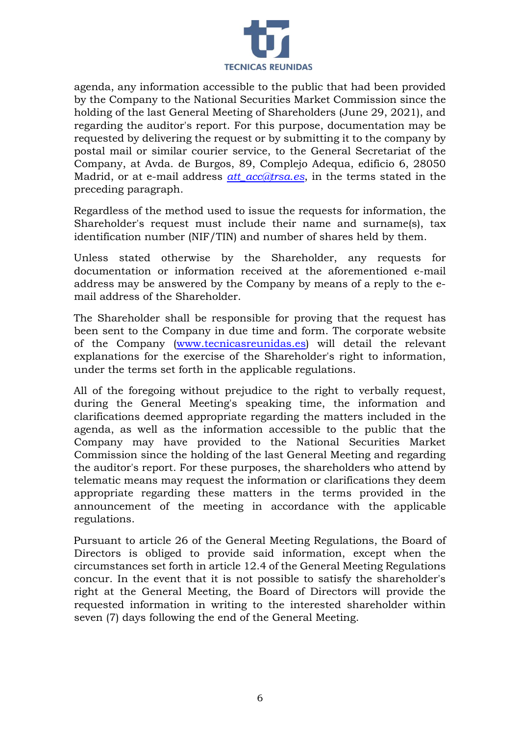

agenda, any information accessible to the public that had been provided by the Company to the National Securities Market Commission since the holding of the last General Meeting of Shareholders (June 29, 2021), and regarding the auditor's report. For this purpose, documentation may be requested by delivering the request or by submitting it to the company by postal mail or similar courier service, to the General Secretariat of the Company, at Avda. de Burgos, 89, Complejo Adequa, edificio 6, 28050 Madrid, or at e-mail address *att\_acc@trsa.es*, in the terms stated in the preceding paragraph.

Regardless of the method used to issue the requests for information, the Shareholder's request must include their name and surname(s), tax identification number (NIF/TIN) and number of shares held by them.

Unless stated otherwise by the Shareholder, any requests for documentation or information received at the aforementioned e-mail address may be answered by the Company by means of a reply to the email address of the Shareholder.

The Shareholder shall be responsible for proving that the request has been sent to the Company in due time and form. The corporate website of the Company [\(www.tecnicasreunidas.es\)](http://www.tecnicasreunidas.es/) will detail the relevant explanations for the exercise of the Shareholder's right to information, under the terms set forth in the applicable regulations.

All of the foregoing without prejudice to the right to verbally request, during the General Meeting's speaking time, the information and clarifications deemed appropriate regarding the matters included in the agenda, as well as the information accessible to the public that the Company may have provided to the National Securities Market Commission since the holding of the last General Meeting and regarding the auditor's report. For these purposes, the shareholders who attend by telematic means may request the information or clarifications they deem appropriate regarding these matters in the terms provided in the announcement of the meeting in accordance with the applicable regulations.

Pursuant to article 26 of the General Meeting Regulations, the Board of Directors is obliged to provide said information, except when the circumstances set forth in article 12.4 of the General Meeting Regulations concur. In the event that it is not possible to satisfy the shareholder's right at the General Meeting, the Board of Directors will provide the requested information in writing to the interested shareholder within seven (7) days following the end of the General Meeting.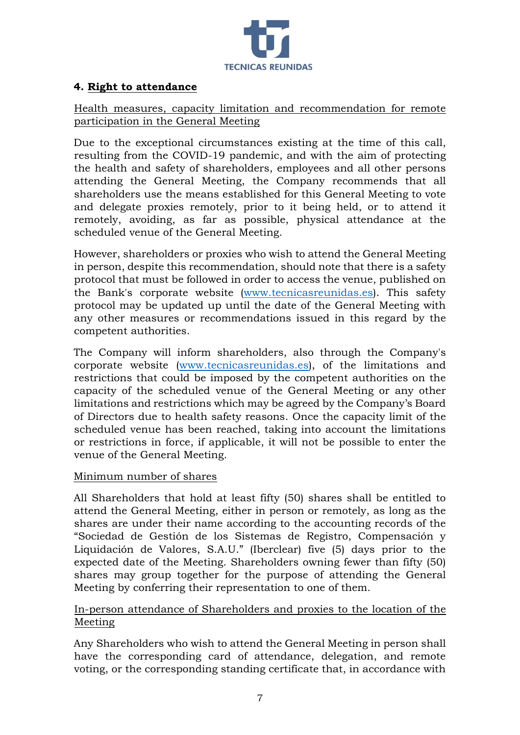

## **4. Right to attendance**

## Health measures, capacity limitation and recommendation for remote participation in the General Meeting

Due to the exceptional circumstances existing at the time of this call, resulting from the COVID-19 pandemic, and with the aim of protecting the health and safety of shareholders, employees and all other persons attending the General Meeting, the Company recommends that all shareholders use the means established for this General Meeting to vote and delegate proxies remotely, prior to it being held, or to attend it remotely, avoiding, as far as possible, physical attendance at the scheduled venue of the General Meeting.

However, shareholders or proxies who wish to attend the General Meeting in person, despite this recommendation, should note that there is a safety protocol that must be followed in order to access the venue, published on the Bank's corporate website [\(www.tecnicasreunidas.es\)](http://www.tecnicasreunidas.es/). This safety protocol may be updated up until the date of the General Meeting with any other measures or recommendations issued in this regard by the competent authorities.

The Company will inform shareholders, also through the Company's corporate website [\(www.tecnicasreunidas.es\)](http://www.tecnicasreunidas.es/), of the limitations and restrictions that could be imposed by the competent authorities on the capacity of the scheduled venue of the General Meeting or any other limitations and restrictions which may be agreed by the Company's Board of Directors due to health safety reasons. Once the capacity limit of the scheduled venue has been reached, taking into account the limitations or restrictions in force, if applicable, it will not be possible to enter the venue of the General Meeting.

#### Minimum number of shares

All Shareholders that hold at least fifty (50) shares shall be entitled to attend the General Meeting, either in person or remotely, as long as the shares are under their name according to the accounting records of the "Sociedad de Gestión de los Sistemas de Registro, Compensación y Liquidación de Valores, S.A.U." (Iberclear) five (5) days prior to the expected date of the Meeting. Shareholders owning fewer than fifty (50) shares may group together for the purpose of attending the General Meeting by conferring their representation to one of them.

# In-person attendance of Shareholders and proxies to the location of the Meeting

Any Shareholders who wish to attend the General Meeting in person shall have the corresponding card of attendance, delegation, and remote voting, or the corresponding standing certificate that, in accordance with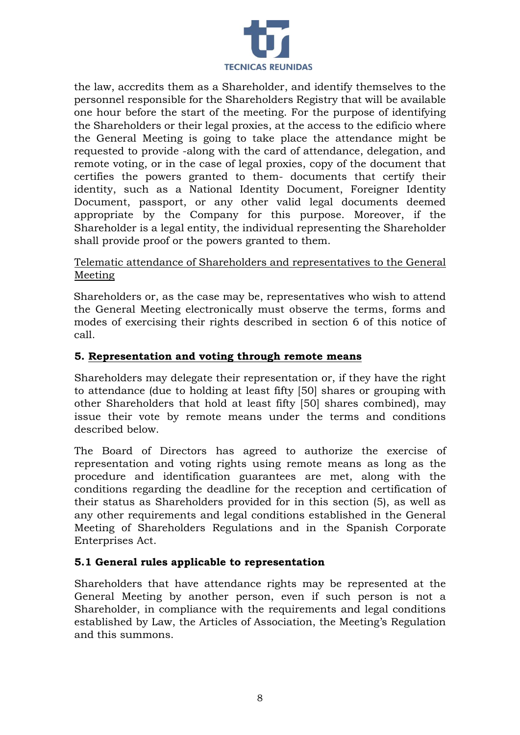

the law, accredits them as a Shareholder, and identify themselves to the personnel responsible for the Shareholders Registry that will be available one hour before the start of the meeting. For the purpose of identifying the Shareholders or their legal proxies, at the access to the edificio where the General Meeting is going to take place the attendance might be requested to provide -along with the card of attendance, delegation, and remote voting, or in the case of legal proxies, copy of the document that certifies the powers granted to them- documents that certify their identity, such as a National Identity Document, Foreigner Identity Document, passport, or any other valid legal documents deemed appropriate by the Company for this purpose. Moreover, if the Shareholder is a legal entity, the individual representing the Shareholder shall provide proof or the powers granted to them.

# Telematic attendance of Shareholders and representatives to the General Meeting

Shareholders or, as the case may be, representatives who wish to attend the General Meeting electronically must observe the terms, forms and modes of exercising their rights described in section 6 of this notice of call.

# **5. Representation and voting through remote means**

Shareholders may delegate their representation or, if they have the right to attendance (due to holding at least fifty [50] shares or grouping with other Shareholders that hold at least fifty [50] shares combined), may issue their vote by remote means under the terms and conditions described below.

The Board of Directors has agreed to authorize the exercise of representation and voting rights using remote means as long as the procedure and identification guarantees are met, along with the conditions regarding the deadline for the reception and certification of their status as Shareholders provided for in this section (5), as well as any other requirements and legal conditions established in the General Meeting of Shareholders Regulations and in the Spanish Corporate Enterprises Act.

# **5.1 General rules applicable to representation**

Shareholders that have attendance rights may be represented at the General Meeting by another person, even if such person is not a Shareholder, in compliance with the requirements and legal conditions established by Law, the Articles of Association, the Meeting's Regulation and this summons.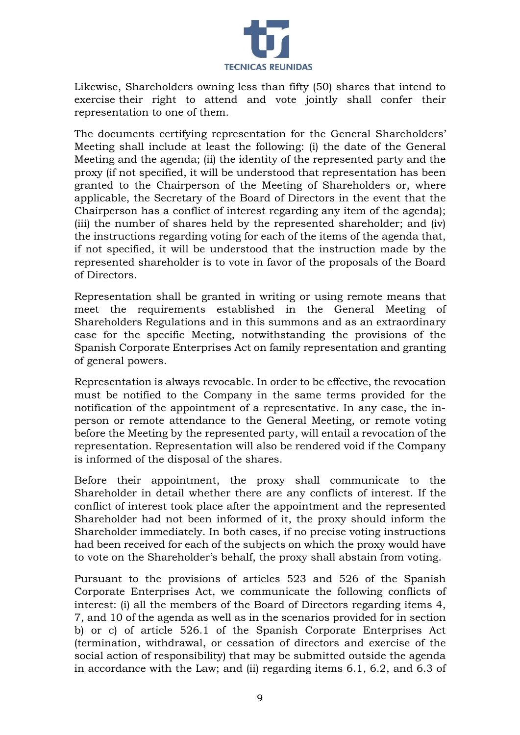

Likewise, Shareholders owning less than fifty (50) shares that intend to exercise their right to attend and vote jointly shall confer their representation to one of them.

The documents certifying representation for the General Shareholders' Meeting shall include at least the following: (i) the date of the General Meeting and the agenda; (ii) the identity of the represented party and the proxy (if not specified, it will be understood that representation has been granted to the Chairperson of the Meeting of Shareholders or, where applicable, the Secretary of the Board of Directors in the event that the Chairperson has a conflict of interest regarding any item of the agenda); (iii) the number of shares held by the represented shareholder; and (iv) the instructions regarding voting for each of the items of the agenda that, if not specified, it will be understood that the instruction made by the represented shareholder is to vote in favor of the proposals of the Board of Directors.

Representation shall be granted in writing or using remote means that meet the requirements established in the General Meeting of Shareholders Regulations and in this summons and as an extraordinary case for the specific Meeting, notwithstanding the provisions of the Spanish Corporate Enterprises Act on family representation and granting of general powers.

Representation is always revocable. In order to be effective, the revocation must be notified to the Company in the same terms provided for the notification of the appointment of a representative. In any case, the inperson or remote attendance to the General Meeting, or remote voting before the Meeting by the represented party, will entail a revocation of the representation. Representation will also be rendered void if the Company is informed of the disposal of the shares.

Before their appointment, the proxy shall communicate to the Shareholder in detail whether there are any conflicts of interest. If the conflict of interest took place after the appointment and the represented Shareholder had not been informed of it, the proxy should inform the Shareholder immediately. In both cases, if no precise voting instructions had been received for each of the subjects on which the proxy would have to vote on the Shareholder's behalf, the proxy shall abstain from voting.

Pursuant to the provisions of articles 523 and 526 of the Spanish Corporate Enterprises Act, we communicate the following conflicts of interest: (i) all the members of the Board of Directors regarding items 4, 7, and 10 of the agenda as well as in the scenarios provided for in section b) or c) of article 526.1 of the Spanish Corporate Enterprises Act (termination, withdrawal, or cessation of directors and exercise of the social action of responsibility) that may be submitted outside the agenda in accordance with the Law; and (ii) regarding items 6.1, 6.2, and 6.3 of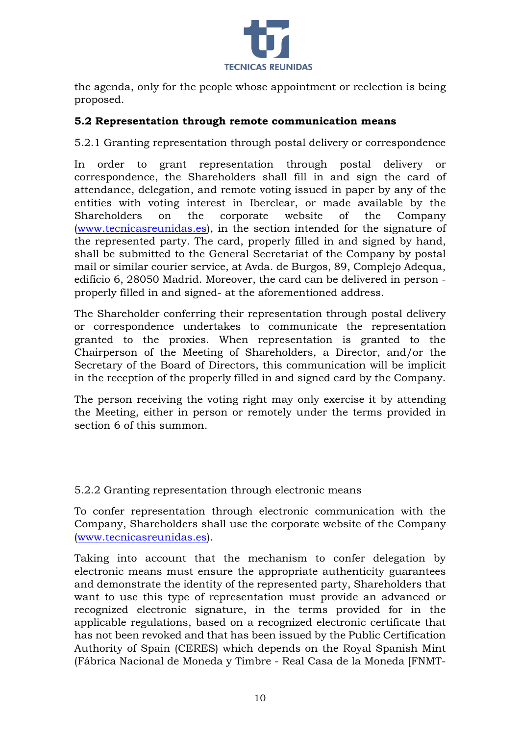

the agenda, only for the people whose appointment or reelection is being proposed.

## **5.2 Representation through remote communication means**

5.2.1 Granting representation through postal delivery or correspondence

In order to grant representation through postal delivery or correspondence, the Shareholders shall fill in and sign the card of attendance, delegation, and remote voting issued in paper by any of the entities with voting interest in Iberclear, or made available by the Shareholders on the corporate website of the Company [\(www.tecnicasreunidas.es\),](http://www.tecnicasreunidas.es/) in the section intended for the signature of the represented party. The card, properly filled in and signed by hand, shall be submitted to the General Secretariat of the Company by postal mail or similar courier service, at Avda. de Burgos, 89, Complejo Adequa, edificio 6, 28050 Madrid. Moreover, the card can be delivered in person properly filled in and signed- at the aforementioned address.

The Shareholder conferring their representation through postal delivery or correspondence undertakes to communicate the representation granted to the proxies. When representation is granted to the Chairperson of the Meeting of Shareholders, a Director, and/or the Secretary of the Board of Directors, this communication will be implicit in the reception of the properly filled in and signed card by the Company.

The person receiving the voting right may only exercise it by attending the Meeting, either in person or remotely under the terms provided in section 6 of this summon.

5.2.2 Granting representation through electronic means

To confer representation through electronic communication with the Company, Shareholders shall use the corporate website of the Company [\(www.tecnicasreunidas.es\).](http://www.tecnicasreunidas.es/)

Taking into account that the mechanism to confer delegation by electronic means must ensure the appropriate authenticity guarantees and demonstrate the identity of the represented party, Shareholders that want to use this type of representation must provide an advanced or recognized electronic signature, in the terms provided for in the applicable regulations, based on a recognized electronic certificate that has not been revoked and that has been issued by the Public Certification Authority of Spain (CERES) which depends on the Royal Spanish Mint (Fábrica Nacional de Moneda y Timbre - Real Casa de la Moneda [FNMT-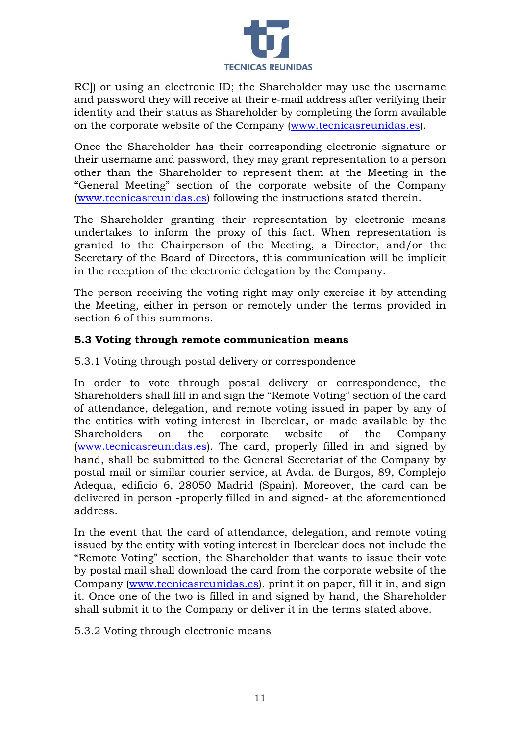

RC]) or using an electronic ID; the Shareholder may use the username and password they will receive at their e-mail address after verifying their identity and their status as Shareholder by completing the form available on the corporate website of the Company [\(www.tecnicasreunidas.es\).](http://www.tecnicasreunidas.es/)

Once the Shareholder has their corresponding electronic signature or their username and password, they may grant representation to a person other than the Shareholder to represent them at the Meeting in the "General Meeting" section of the corporate website of the Company [\(www.tecnicasreunidas.es\)](http://www.tecnicasreunidas.es/) following the instructions stated therein.

The Shareholder granting their representation by electronic means undertakes to inform the proxy of this fact. When representation is granted to the Chairperson of the Meeting, a Director, and/or the Secretary of the Board of Directors, this communication will be implicit in the reception of the electronic delegation by the Company.

The person receiving the voting right may only exercise it by attending the Meeting, either in person or remotely under the terms provided in section 6 of this summons.

## **5.3 Voting through remote communication means**

5.3.1 Voting through postal delivery or correspondence

In order to vote through postal delivery or correspondence, the Shareholders shall fill in and sign the "Remote Voting" section of the card of attendance, delegation, and remote voting issued in paper by any of the entities with voting interest in Iberclear, or made available by the Shareholders on the corporate website of the Company [\(www.tecnicasreunidas.es\).](http://www.tecnicasreunidas.es/) The card, properly filled in and signed by hand, shall be submitted to the General Secretariat of the Company by postal mail or similar courier service, at Avda. de Burgos, 89, Complejo Adequa, edificio 6, 28050 Madrid (Spain). Moreover, the card can be delivered in person -properly filled in and signed- at the aforementioned address.

In the event that the card of attendance, delegation, and remote voting issued by the entity with voting interest in Iberclear does not include the "Remote Voting" section, the Shareholder that wants to issue their vote by postal mail shall download the card from the corporate website of the Company [\(www.tecnicasreunidas.es\),](http://www.tecnicasreunidas.es/) print it on paper, fill it in, and sign it. Once one of the two is filled in and signed by hand, the Shareholder shall submit it to the Company or deliver it in the terms stated above.

5.3.2 Voting through electronic means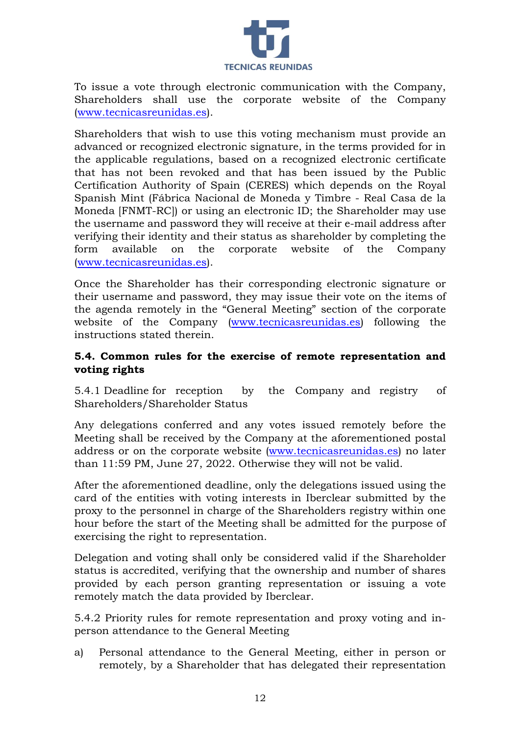

To issue a vote through electronic communication with the Company, Shareholders shall use the corporate website of the Company [\(www.tecnicasreunidas.es\).](http://www.tecnicasreunidas.es/)

Shareholders that wish to use this voting mechanism must provide an advanced or recognized electronic signature, in the terms provided for in the applicable regulations, based on a recognized electronic certificate that has not been revoked and that has been issued by the Public Certification Authority of Spain (CERES) which depends on the Royal Spanish Mint (Fábrica Nacional de Moneda y Timbre - Real Casa de la Moneda [FNMT-RC]) or using an electronic ID; the Shareholder may use the username and password they will receive at their e-mail address after verifying their identity and their status as shareholder by completing the form available on the corporate website of the Company [\(www.tecnicasreunidas.es\).](http://www.tecnicasreunidas.es/)

Once the Shareholder has their corresponding electronic signature or their username and password, they may issue their vote on the items of the agenda remotely in the "General Meeting" section of the corporate website of the Company [\(www.tecnicasreunidas.es\)](http://www.tecnicasreunidas.es/) following the instructions stated therein.

## **5.4. Common rules for the exercise of remote representation and voting rights**

5.4.1 Deadline for reception by the Company and registry of Shareholders/Shareholder Status

Any delegations conferred and any votes issued remotely before the Meeting shall be received by the Company at the aforementioned postal address or on the corporate website [\(www.tecnicasreunidas.es\)](http://www.tecnicasreunidas.es/) no later than 11:59 PM, June 27, 2022. Otherwise they will not be valid.

After the aforementioned deadline, only the delegations issued using the card of the entities with voting interests in Iberclear submitted by the proxy to the personnel in charge of the Shareholders registry within one hour before the start of the Meeting shall be admitted for the purpose of exercising the right to representation.

Delegation and voting shall only be considered valid if the Shareholder status is accredited, verifying that the ownership and number of shares provided by each person granting representation or issuing a vote remotely match the data provided by Iberclear.

5.4.2 Priority rules for remote representation and proxy voting and inperson attendance to the General Meeting

a) Personal attendance to the General Meeting, either in person or remotely, by a Shareholder that has delegated their representation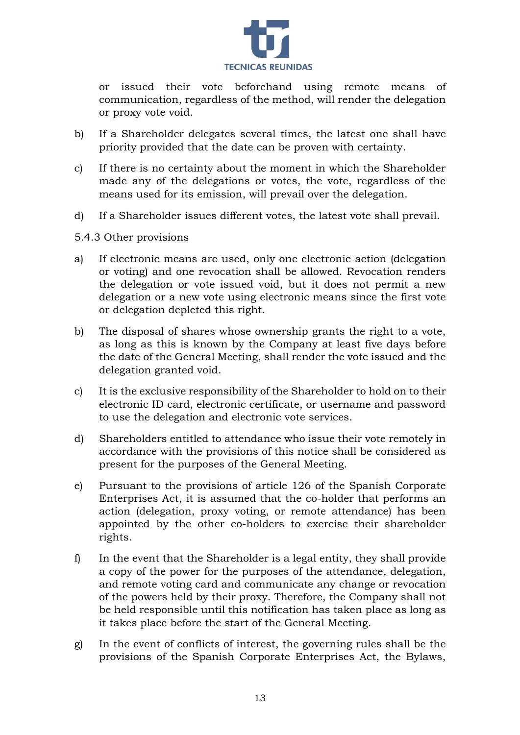

or issued their vote beforehand using remote means of communication, regardless of the method, will render the delegation or proxy vote void.

- b) If a Shareholder delegates several times, the latest one shall have priority provided that the date can be proven with certainty.
- c) If there is no certainty about the moment in which the Shareholder made any of the delegations or votes, the vote, regardless of the means used for its emission, will prevail over the delegation.
- d) If a Shareholder issues different votes, the latest vote shall prevail.
- 5.4.3 Other provisions
- a) If electronic means are used, only one electronic action (delegation or voting) and one revocation shall be allowed. Revocation renders the delegation or vote issued void, but it does not permit a new delegation or a new vote using electronic means since the first vote or delegation depleted this right.
- b) The disposal of shares whose ownership grants the right to a vote, as long as this is known by the Company at least five days before the date of the General Meeting, shall render the vote issued and the delegation granted void.
- c) It is the exclusive responsibility of the Shareholder to hold on to their electronic ID card, electronic certificate, or username and password to use the delegation and electronic vote services.
- d) Shareholders entitled to attendance who issue their vote remotely in accordance with the provisions of this notice shall be considered as present for the purposes of the General Meeting.
- e) Pursuant to the provisions of article 126 of the Spanish Corporate Enterprises Act, it is assumed that the co-holder that performs an action (delegation, proxy voting, or remote attendance) has been appointed by the other co-holders to exercise their shareholder rights.
- f) In the event that the Shareholder is a legal entity, they shall provide a copy of the power for the purposes of the attendance, delegation, and remote voting card and communicate any change or revocation of the powers held by their proxy. Therefore, the Company shall not be held responsible until this notification has taken place as long as it takes place before the start of the General Meeting.
- g) In the event of conflicts of interest, the governing rules shall be the provisions of the Spanish Corporate Enterprises Act, the Bylaws,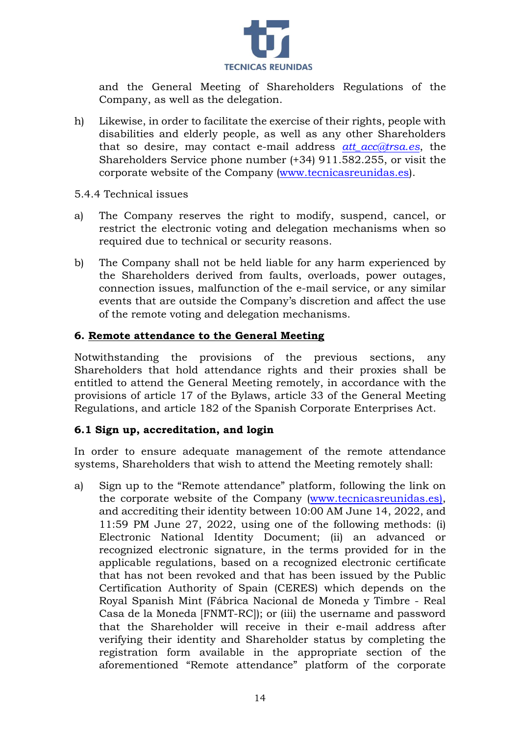

and the General Meeting of Shareholders Regulations of the Company, as well as the delegation.

h) Likewise, in order to facilitate the exercise of their rights, people with disabilities and elderly people, as well as any other Shareholders that so desire, may contact e-mail address *att\_acc@trsa.es*, the Shareholders Service phone number (+34) 911.582.255, or visit the corporate website of the Company [\(www.tecnicasreunidas.es\).](http://www.tecnicasreunidas.es/)

#### 5.4.4 Technical issues

- a) The Company reserves the right to modify, suspend, cancel, or restrict the electronic voting and delegation mechanisms when so required due to technical or security reasons.
- b) The Company shall not be held liable for any harm experienced by the Shareholders derived from faults, overloads, power outages, connection issues, malfunction of the e-mail service, or any similar events that are outside the Company's discretion and affect the use of the remote voting and delegation mechanisms.

#### **6. Remote attendance to the General Meeting**

Notwithstanding the provisions of the previous sections, any Shareholders that hold attendance rights and their proxies shall be entitled to attend the General Meeting remotely, in accordance with the provisions of article 17 of the Bylaws, article 33 of the General Meeting Regulations, and article 182 of the Spanish Corporate Enterprises Act.

#### **6.1 Sign up, accreditation, and login**

In order to ensure adequate management of the remote attendance systems, Shareholders that wish to attend the Meeting remotely shall:

a) Sign up to the "Remote attendance" platform, following the link on the corporate website of the Company (www.tecnicasreunidas.es), and accrediting their identity between 10:00 AM June 14, 2022, and 11:59 PM June 27, 2022, using one of the following methods: (i) Electronic National Identity Document; (ii) an advanced or recognized electronic signature, in the terms provided for in the applicable regulations, based on a recognized electronic certificate that has not been revoked and that has been issued by the Public Certification Authority of Spain (CERES) which depends on the Royal Spanish Mint (Fábrica Nacional de Moneda y Timbre - Real Casa de la Moneda [FNMT-RC]); or (iii) the username and password that the Shareholder will receive in their e-mail address after verifying their identity and Shareholder status by completing the registration form available in the appropriate section of the aforementioned "Remote attendance" platform of the corporate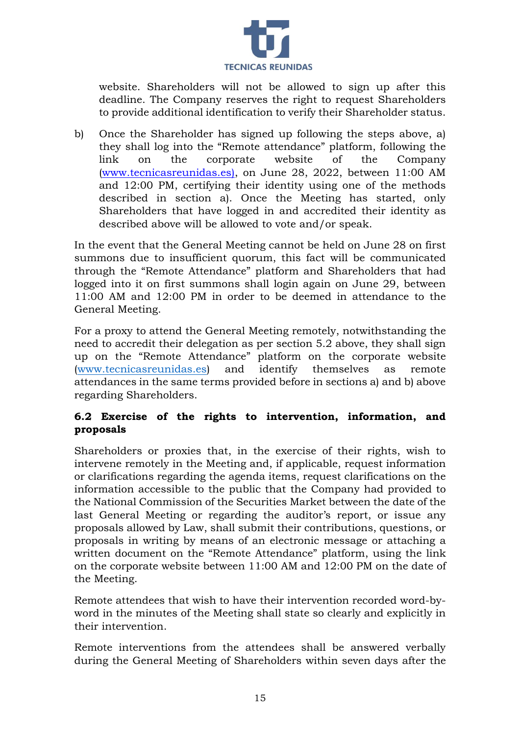

website. Shareholders will not be allowed to sign up after this deadline. The Company reserves the right to request Shareholders to provide additional identification to verify their Shareholder status.

b) Once the Shareholder has signed up following the steps above, a) they shall log into the "Remote attendance" platform, following the link on the corporate website of the Company (www.tecnicasreunidas.es), on June 28, 2022, between 11:00 AM and 12:00 PM, certifying their identity using one of the methods described in section a). Once the Meeting has started, only Shareholders that have logged in and accredited their identity as described above will be allowed to vote and/or speak.

In the event that the General Meeting cannot be held on June 28 on first summons due to insufficient quorum, this fact will be communicated through the "Remote Attendance" platform and Shareholders that had logged into it on first summons shall login again on June 29, between 11:00 AM and 12:00 PM in order to be deemed in attendance to the General Meeting.

For a proxy to attend the General Meeting remotely, notwithstanding the need to accredit their delegation as per section 5.2 above, they shall sign up on the "Remote Attendance" platform on the corporate website [\(www.tecnicasreunidas.es\)](http://www.tecnicasreunidas.es/) and identify themselves as remote attendances in the same terms provided before in sections a) and b) above regarding Shareholders.

# **6.2 Exercise of the rights to intervention, information, and proposals**

Shareholders or proxies that, in the exercise of their rights, wish to intervene remotely in the Meeting and, if applicable, request information or clarifications regarding the agenda items, request clarifications on the information accessible to the public that the Company had provided to the National Commission of the Securities Market between the date of the last General Meeting or regarding the auditor's report, or issue any proposals allowed by Law, shall submit their contributions, questions, or proposals in writing by means of an electronic message or attaching a written document on the "Remote Attendance" platform, using the link on the corporate website between 11:00 AM and 12:00 PM on the date of the Meeting.

Remote attendees that wish to have their intervention recorded word-byword in the minutes of the Meeting shall state so clearly and explicitly in their intervention.

Remote interventions from the attendees shall be answered verbally during the General Meeting of Shareholders within seven days after the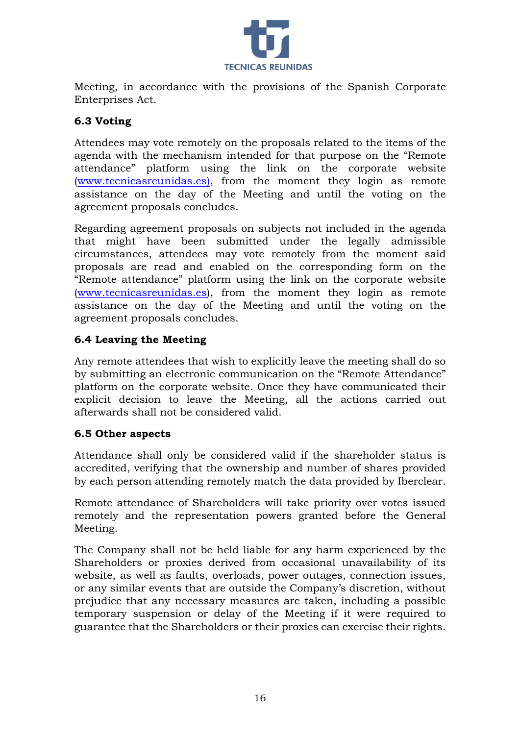

Meeting, in accordance with the provisions of the Spanish Corporate Enterprises Act.

# **6.3 Voting**

Attendees may vote remotely on the proposals related to the items of the agenda with the mechanism intended for that purpose on the "Remote attendance" platform using the link on the corporate website (www.tecnicasreunidas.es), from the moment they login as remote assistance on the day of the Meeting and until the voting on the agreement proposals concludes.

Regarding agreement proposals on subjects not included in the agenda that might have been submitted under the legally admissible circumstances, attendees may vote remotely from the moment said proposals are read and enabled on the corresponding form on the "Remote attendance" platform using the link on the corporate website [\(www.tecnicasreunidas.es\),](http://www.tecnicasreunidas.es/) from the moment they login as remote assistance on the day of the Meeting and until the voting on the agreement proposals concludes.

# **6.4 Leaving the Meeting**

Any remote attendees that wish to explicitly leave the meeting shall do so by submitting an electronic communication on the "Remote Attendance" platform on the corporate website. Once they have communicated their explicit decision to leave the Meeting, all the actions carried out afterwards shall not be considered valid.

# **6.5 Other aspects**

Attendance shall only be considered valid if the shareholder status is accredited, verifying that the ownership and number of shares provided by each person attending remotely match the data provided by Iberclear.

Remote attendance of Shareholders will take priority over votes issued remotely and the representation powers granted before the General Meeting.

The Company shall not be held liable for any harm experienced by the Shareholders or proxies derived from occasional unavailability of its website, as well as faults, overloads, power outages, connection issues, or any similar events that are outside the Company's discretion, without prejudice that any necessary measures are taken, including a possible temporary suspension or delay of the Meeting if it were required to guarantee that the Shareholders or their proxies can exercise their rights.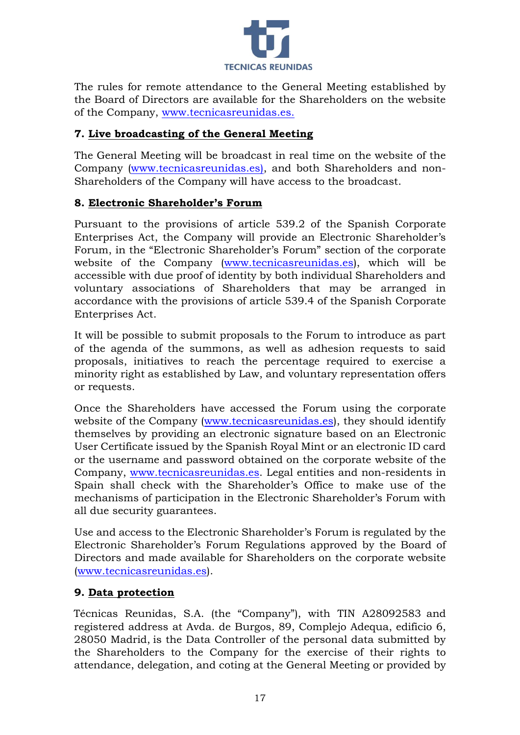

The rules for remote attendance to the General Meeting established by the Board of Directors are available for the Shareholders on the website of the Company, www.tecnicasreunidas.es.

# **7. Live broadcasting of the General Meeting**

The General Meeting will be broadcast in real time on the website of the Company [\(www.tecnicasreunidas.es\),](http://www.ebrofoods.es/) and both Shareholders and non-Shareholders of the Company will have access to the broadcast.

# **8. Electronic Shareholder's Forum**

Pursuant to the provisions of article 539.2 of the Spanish Corporate Enterprises Act, the Company will provide an Electronic Shareholder's Forum, in the "Electronic Shareholder's Forum" section of the corporate website of the Company [\(www.tecnicasreunidas.es\),](http://www.tecnicasreunidas.es/) which will be accessible with due proof of identity by both individual Shareholders and voluntary associations of Shareholders that may be arranged in accordance with the provisions of article 539.4 of the Spanish Corporate Enterprises Act.

It will be possible to submit proposals to the Forum to introduce as part of the agenda of the summons, as well as adhesion requests to said proposals, initiatives to reach the percentage required to exercise a minority right as established by Law, and voluntary representation offers or requests.

Once the Shareholders have accessed the Forum using the corporate website of the Company [\(www.tecnicasreunidas.es\),](http://www.tecnicasreunidas.es/) they should identify themselves by providing an electronic signature based on an Electronic User Certificate issued by the Spanish Royal Mint or an electronic ID card or the username and password obtained on the corporate website of the Company, [www.tecnicasreunidas.es.](http://www.tecnicasreunidas.es/) Legal entities and non-residents in Spain shall check with the Shareholder's Office to make use of the mechanisms of participation in the Electronic Shareholder's Forum with all due security guarantees.

Use and access to the Electronic Shareholder's Forum is regulated by the Electronic Shareholder's Forum Regulations approved by the Board of Directors and made available for Shareholders on the corporate website [\(www.tecnicasreunidas.es\).](http://www.tecnicasreunidas.es/)

# **9. Data protection**

Técnicas Reunidas, S.A. (the "Company"), with TIN A28092583 and registered address at Avda. de Burgos, 89, Complejo Adequa, edificio 6, 28050 Madrid, is the Data Controller of the personal data submitted by the Shareholders to the Company for the exercise of their rights to attendance, delegation, and coting at the General Meeting or provided by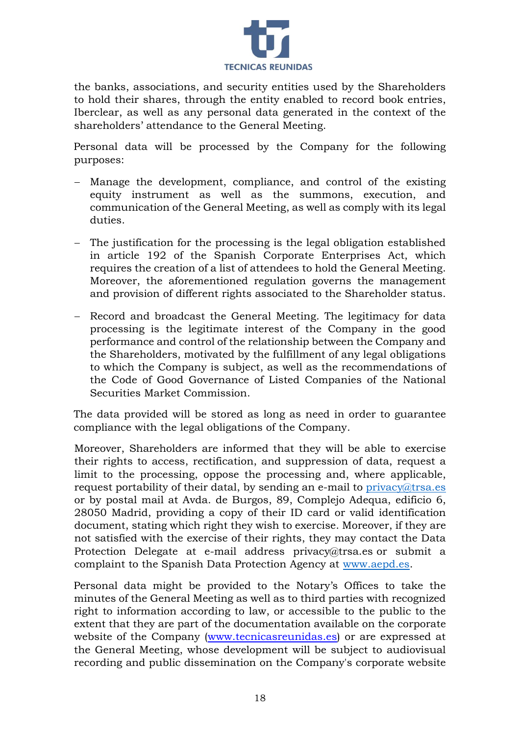

the banks, associations, and security entities used by the Shareholders to hold their shares, through the entity enabled to record book entries, Iberclear, as well as any personal data generated in the context of the shareholders' attendance to the General Meeting.

Personal data will be processed by the Company for the following purposes:

- Manage the development, compliance, and control of the existing equity instrument as well as the summons, execution, and communication of the General Meeting, as well as comply with its legal duties.
- The justification for the processing is the legal obligation established in article 192 of the Spanish Corporate Enterprises Act, which requires the creation of a list of attendees to hold the General Meeting. Moreover, the aforementioned regulation governs the management and provision of different rights associated to the Shareholder status.
- − Record and broadcast the General Meeting. The legitimacy for data processing is the legitimate interest of the Company in the good performance and control of the relationship between the Company and the Shareholders, motivated by the fulfillment of any legal obligations to which the Company is subject, as well as the recommendations of the Code of Good Governance of Listed Companies of the National Securities Market Commission.

The data provided will be stored as long as need in order to guarantee compliance with the legal obligations of the Company.

Moreover, Shareholders are informed that they will be able to exercise their rights to access, rectification, and suppression of data, request a limit to the processing, oppose the processing and, where applicable, request portability of their datal, by sending an e-mail to  $\text{privacy}(a)$ trsa.es or by postal mail at Avda. de Burgos, 89, Complejo Adequa, edificio 6, 28050 Madrid, providing a copy of their ID card or valid identification document, stating which right they wish to exercise. Moreover, if they are not satisfied with the exercise of their rights, they may contact the Data Protection Delegate at e-mail address privacy@trsa.es or submit a complaint to the Spanish Data Protection Agency at [www.aepd.es.](http://www.aepd.es/)

Personal data might be provided to the Notary's Offices to take the minutes of the General Meeting as well as to third parties with recognized right to information according to law, or accessible to the public to the extent that they are part of the documentation available on the corporate website of the Company [\(www.tecnicasreunidas.es\)](http://www.tecnicasreunidas.es/) or are expressed at the General Meeting, whose development will be subject to audiovisual recording and public dissemination on the Company's corporate website